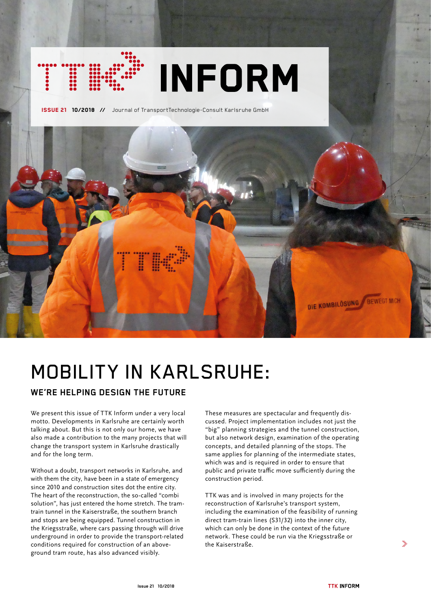# **INFORM**

ISSUE 21 10/2018 **//** Journal of TransportTechnologie-Consult Karlsruhe GmbH



# MOBILITY IN KARLSRUHE:

# **WE'RE HELPING DESIGN THE FUTURE**

We present this issue of TTK Inform under a very local motto. Developments in Karlsruhe are certainly worth talking about. But this is not only our home, we have also made a contribution to the many projects that will change the transport system in Karlsruhe drastically and for the long term.

Without a doubt, transport networks in Karlsruhe, and with them the city, have been in a state of emergency since 2010 and construction sites dot the entire city. The heart of the reconstruction, the so-called "combi solution", has just entered the home stretch. The tramtrain tunnel in the Kaiserstraße, the southern branch and stops are being equipped. Tunnel construction in the Kriegsstraße, where cars passing through will drive underground in order to provide the transport-related conditions required for construction of an aboveground tram route, has also advanced visibly.

These measures are spectacular and frequently discussed. Project implementation includes not just the "big" planning strategies and the tunnel construction, but also network design, examination of the operating concepts, and detailed planning of the stops. The same applies for planning of the intermediate states, which was and is required in order to ensure that public and private traffic move sufficiently during the construction period.

TTK was and is involved in many projects for the reconstruction of Karlsruhe's transport system, including the examination of the feasibility of running direct tram-train lines (S31/32) into the inner city, which can only be done in the context of the future network. These could be run via the Kriegsstraße or the Kaiserstraße.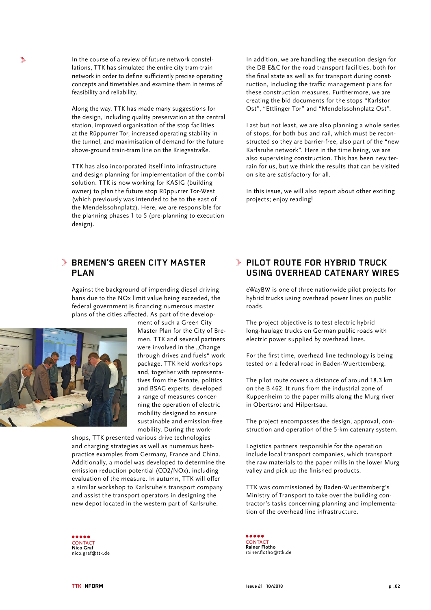In the course of a review of future network constellations, TTK has simulated the entire city tram-train network in order to define sufficiently precise operating concepts and timetables and examine them in terms of feasibility and reliability.

Along the way, TTK has made many suggestions for the design, including quality preservation at the central station, improved organisation of the stop facilities at the Rüppurrer Tor, increased operating stability in the tunnel, and maximisation of demand for the future above-ground train-tram line on the Kriegsstraße.

TTK has also incorporated itself into infrastructure and design planning for implementation of the combi solution. TTK is now working for KASIG (building owner) to plan the future stop Rüppurrer Tor-West (which previously was intended to be to the east of the Mendelssohnplatz). Here, we are responsible for the planning phases 1 to 5 (pre-planning to execution design).

## **BREMEN'S GREEN CITY MASTER PLAN**

Against the background of impending diesel driving bans due to the NOx limit value being exceeded, the federal government is financing numerous master plans of the cities affected. As part of the develop-



y.

ment of such a Green City Master Plan for the City of Bremen, TTK and several partners were involved in the "Change through drives and fuels" work package. TTK held workshops and, together with representatives from the Senate, politics and BSAG experts, developed a range of measures concerning the operation of electric mobility designed to ensure sustainable and emission-free mobility. During the work-

shops, TTK presented various drive technologies and charging strategies as well as numerous bestpractice examples from Germany, France and China. Additionally, a model was developed to determine the emission reduction potential (CO2/NOx), including evaluation of the measure. In autumn, TTK will offer a similar workshop to Karlsruhe's transport company and assist the transport operators in designing the new depot located in the western part of Karlsruhe.



In addition, we are handling the execution design for the DB E&C for the road transport facilities, both for the final state as well as for transport during construction, including the traffic management plans for these construction measures. Furthermore, we are creating the bid documents for the stops "Karlstor Ost", "Ettlinger Tor" and "Mendelssohnplatz Ost".

Last but not least, we are also planning a whole series of stops, for both bus and rail, which must be reconstructed so they are barrier-free, also part of the "new Karlsruhe network". Here in the time being, we are also supervising construction. This has been new terrain for us, but we think the results that can be visited on site are satisfactory for all.

In this issue, we will also report about other exciting projects; enjoy reading!

### **PILOT ROUTE FOR HYBRID TRUCK USING OVERHEAD CATENARY WIRES**

eWayBW is one of three nationwide pilot projects for hybrid trucks using overhead power lines on public roads.

The project objective is to test electric hybrid long-haulage trucks on German public roads with electric power supplied by overhead lines.

For the first time, overhead line technology is being tested on a federal road in Baden-Wuerttemberg.

The pilot route covers a distance of around 18.3 km on the B 462. It runs from the industrial zone of Kuppenheim to the paper mills along the Murg river in Obertsrot and Hilpertsau.

The project encompasses the design, approval, construction and operation of the 5-km catenary system.

Logistics partners responsible for the operation include local transport companies, which transport the raw materials to the paper mills in the lower Murg valley and pick up the finished products.

TTK was commissioned by Baden-Wuerttemberg's Ministry of Transport to take over the building contractor's tasks concerning planning and implementation of the overhead line infrastructure.

..... CONTACT **Rainer Flotho** rainer.flotho@ttk.de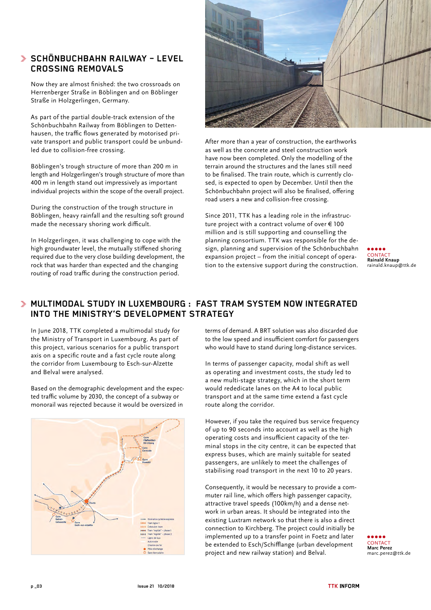# **SCHÖNBUCHBAHN RAILWAY – LEVEL CROSSING REMOVALS**

Now they are almost finished: the two crossroads on Herrenberger Straße in Böblingen and on Böblinger Straße in Holzgerlingen, Germany.

As part of the partial double-track extension of the Schönbuchbahn Railway from Böblingen to Dettenhausen, the traffic flows generated by motorised private transport and public transport could be unbundled due to collision-free crossing.

Böblingen's trough structure of more than 200 m in length and Holzgerlingen's trough structure of more than 400 m in length stand out impressively as important individual projects within the scope of the overall project.

During the construction of the trough structure in Böblingen, heavy rainfall and the resulting soft ground made the necessary shoring work difficult.

In Holzgerlingen, it was challenging to cope with the high groundwater level, the mutually stiffened shoring required due to the very close building development, the rock that was harder than expected and the changing routing of road traffic during the construction period.



After more than a year of construction, the earthworks as well as the concrete and steel construction work have now been completed. Only the modelling of the terrain around the structures and the lanes still need to be finalised. The train route, which is currently closed, is expected to open by December. Until then the Schönbuchbahn project will also be finalised, offering road users a new and collision-free crossing.

Since 2011, TTK has a leading role in the infrastructure project with a contract volume of over  $\in$  100 million and is still supporting and counselling the planning consortium. TTK was responsible for the design, planning and supervision of the Schönbuchbahn expansion project – from the initial concept of operation to the extensive support during the construction.

CONTAC<sup>T</sup> **Rainald Knaup**  rainald.knaup@ttk.de

# **MULTIMODAL STUDY IN LUXEMBOURG : FAST TRAM SYSTEM NOW INTEGRATED INTO THE MINISTRY'S DEVELOPMENT STRATEGY**

In June 2018, TTK completed a multimodal study for the Ministry of Transport in Luxembourg. As part of this project, various scenarios for a public transport axis on a specific route and a fast cycle route along the corridor from Luxembourg to Esch-sur-Alzette and Belval were analysed.

Based on the demographic development and the expected traffic volume by 2030, the concept of a subway or monorail was rejected because it would be oversized in



terms of demand. A BRT solution was also discarded due to the low speed and insufficient comfort for passengers who would have to stand during long-distance services.

In terms of passenger capacity, modal shift as well as operating and investment costs, the study led to a new multi-stage strategy, which in the short term would rededicate lanes on the A4 to local public transport and at the same time extend a fast cycle route along the corridor.

However, if you take the required bus service frequency of up to 90 seconds into account as well as the high operating costs and insufficient capacity of the terminal stops in the city centre, it can be expected that express buses, which are mainly suitable for seated passengers, are unlikely to meet the challenges of stabilising road transport in the next 10 to 20 years.

Consequently, it would be necessary to provide a commuter rail line, which offers high passenger capacity, attractive travel speeds (100km/h) and a dense network in urban areas. It should be integrated into the existing Luxtram network so that there is also a direct connection to Kirchberg. The project could initially be implemented up to a transfer point in Foetz and later be extended to Esch/Schifflange (urban development project and new railway station) and Belval.

**CONTACT Marc Perez**  marc.perez@ttk.de